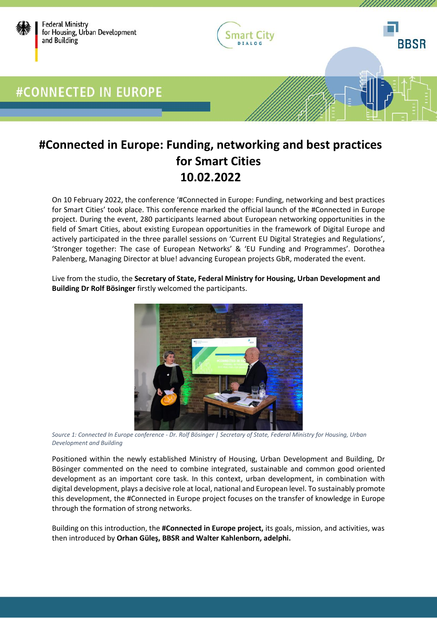

### **#Connected in Europe: Funding, networking and best practices for Smart Cities 10.02.2022**

On 10 February 2022, the conference '#Connected in Europe: Funding, networking and best practices for Smart Cities' took place. This conference marked the official launch of the #Connected in Europe project. During the event, 280 participants learned about European networking opportunities in the field of Smart Cities, about existing European opportunities in the framework of Digital Europe and actively participated in the three parallel sessions on 'Current EU Digital Strategies and Regulations', 'Stronger together: The case of European Networks' & 'EU Funding and Programmes'. Dorothea Palenberg, Managing Director at blue! advancing European projects GbR, moderated the event.

Live from the studio, the **Secretary of State, Federal Ministry for Housing, Urban Development and Building Dr Rolf Bösinger** firstly welcomed the participants.



*Source 1: Connected In Europe conference - Dr. Rolf Bösinger | Secretary of State, Federal Ministry for Housing, Urban Development and Building*

Positioned within the newly established Ministry of Housing, Urban Development and Building, Dr Bösinger commented on the need to combine integrated, sustainable and common good oriented development as an important core task. In this context, urban development, in combination with digital development, plays a decisive role at local, national and European level. To sustainably promote this development, the #Connected in Europe project focuses on the transfer of knowledge in Europe through the formation of strong networks.

Building on this introduction, the **#Connected in Europe project,** its goals, mission, and activities, was then introduced by **Orhan Güleş, BBSR and Walter Kahlenborn, adelphi.**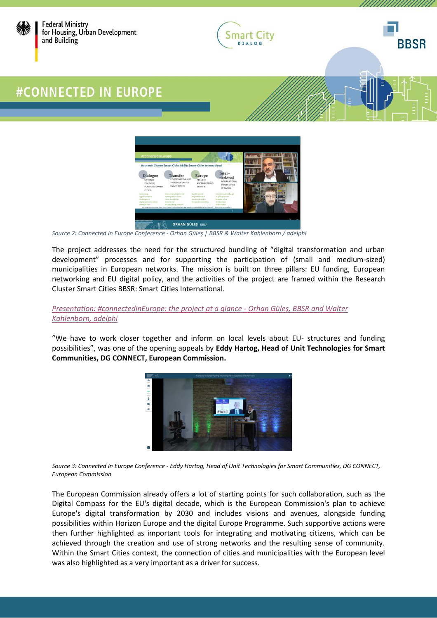





,,,,,,,,,,,,

### #CONNECTED IN EUROPE



*Source 2: Connected In Europe Conference - Orhan Güleş | BBSR & Walter Kahlenborn / adelphi*

The project addresses the need for the structured bundling of "digital transformation and urban development" processes and for supporting the participation of (small and medium-sized) municipalities in European networks. The mission is built on three pillars: EU funding, European networking and EU digital policy, and the activities of the project are framed within the Research Cluster Smart Cities BBSR: Smart Cities International.

#### *[Presentation: #connectedinEurope: the project at a glance -](https://www.smart-city-dialog.de/wp-content/uploads/2022/03/2022-01.pdf) Orhan Güleş, BBSR and Walter [Kahlenborn, adelphi](https://www.smart-city-dialog.de/wp-content/uploads/2022/03/2022-01.pdf)*

"We have to work closer together and inform on local levels about EU- structures and funding possibilities", was one of the opening appeals by **Eddy Hartog, Head of Unit Technologies for Smart Communities, DG CONNECT, European Commission.**



*Source 3: Connected In Europe Conference - Eddy Hartog, Head of Unit Technologies for Smart Communities, DG CONNECT, European Commission*

The European Commission already offers a lot of starting points for such collaboration, such as the Digital Compass for the EU's digital decade, which is the European Commission's plan to achieve Europe's digital transformation by 2030 and includes visions and avenues, alongside funding possibilities within Horizon Europe and the digital Europe Programme. Such supportive actions were then further highlighted as important tools for integrating and motivating citizens, which can be achieved through the creation and use of strong networks and the resulting sense of community. Within the Smart Cities context, the connection of cities and municipalities with the European level was also highlighted as a very important as a driver for success.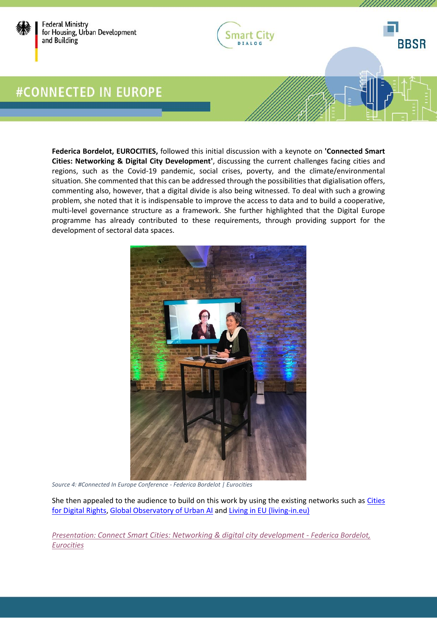



,,,,,,,,,,,,,,

**BBSR** 

**Federica Bordelot, EUROCITIES,** followed this initial discussion with a keynote on **'Connected Smart Cities: Networking & Digital City Development'**, discussing the current challenges facing cities and regions, such as the Covid-19 pandemic, social crises, poverty, and the climate/environmental situation. She commented that this can be addressed through the possibilities that digialisation offers, commenting also, however, that a digital divide is also being witnessed. To deal with such a growing problem, she noted that it is indispensable to improve the access to data and to build a cooperative, multi-level governance structure as a framework. She further highlighted that the Digital Europe programme has already contributed to these requirements, through providing support for the development of sectoral data spaces.



*Source 4: #Connected In Europe Conference - Federica Bordelot | Eurocities*

She then appealed to the audience to build on this work by using the existing networks such as Cities [for Digital Rights,](https://citiesfordigitalrights.org/) [Global Observatory of Urban AI](https://citiesfordigitalrights.org/global-observatory-urban-ai) and [Living in EU \(living-in.eu\)](https://living-in.eu/)

*Presentation: [Connect Smart Cities: Networking & digital city development](https://www.smart-city-dialog.de/wp-content/uploads/2022/03/CONNE1.pdf) - Federica Bordelot, [Eurocities](https://www.smart-city-dialog.de/wp-content/uploads/2022/03/CONNE1.pdf)*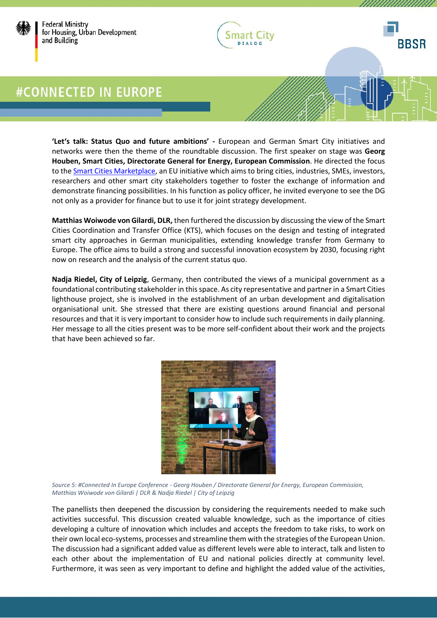



*MAANAHAAAA* 

# **#CONNECTED IN EUROPE**

**'Let's talk: Status Quo and future ambitions' -** European and German Smart City initiatives and networks were then the theme of the roundtable discussion. The first speaker on stage was **Georg Houben, Smart Cities, Directorate General for Energy, European Commission**. He directed the focus to the **Smart Cities Marketplace**, an EU initiative which aims to bring cities, industries, SMEs, investors, researchers and other smart city stakeholders together to foster the exchange of information and demonstrate financing possibilities. In his function as policy officer, he invited everyone to see the DG not only as a provider for finance but to use it for joint strategy development.

**Matthias Woiwode von Gilardi, DLR,** then furthered the discussion by discussing the view of the Smart Cities Coordination and Transfer Office (KTS), which focuses on the design and testing of integrated smart city approaches in German municipalities, extending knowledge transfer from Germany to Europe. The office aims to build a strong and successful innovation ecosystem by 2030, focusing right now on research and the analysis of the current status quo.

**Nadja Riedel, City of Leipzig**, Germany, then contributed the views of a municipal government as a foundational contributing stakeholder in this space. As city representative and partner in a Smart Cities lighthouse project, she is involved in the establishment of an urban development and digitalisation organisational unit. She stressed that there are existing questions around financial and personal resources and that it is very important to consider how to include such requirements in daily planning. Her message to all the cities present was to be more self-confident about their work and the projects that have been achieved so far.



*Source 5: #Connected In Europe Conference - Georg Houben / Directorate General for Energy, European Commission, Matthias Woiwode von Gilardi | DLR & Nadja Riedel | City of Leipzig*

The panellists then deepened the discussion by considering the requirements needed to make such activities successful. This discussion created valuable knowledge, such as the importance of cities developing a culture of innovation which includes and accepts the freedom to take risks, to work on their own local eco-systems, processes and streamline them with the strategies of the European Union. The discussion had a significant added value as different levels were able to interact, talk and listen to each other about the implementation of EU and national policies directly at community level. Furthermore, it was seen as very important to define and highlight the added value of the activities,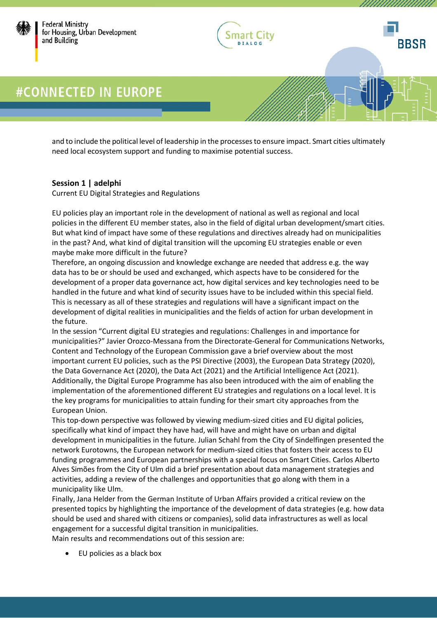



UNNUNNUN

**BBSR** 

and to include the political level of leadership in the processes to ensure impact. Smart cities ultimately need local ecosystem support and funding to maximise potential success.

#### **Session 1 | adelphi**

Current EU Digital Strategies and Regulations

EU policies play an important role in the development of national as well as regional and local policies in the different EU member states, also in the field of digital urban development/smart cities. But what kind of impact have some of these regulations and directives already had on municipalities in the past? And, what kind of digital transition will the upcoming EU strategies enable or even maybe make more difficult in the future?

Therefore, an ongoing discussion and knowledge exchange are needed that address e.g. the way data has to be or should be used and exchanged, which aspects have to be considered for the development of a proper data governance act, how digital services and key technologies need to be handled in the future and what kind of security issues have to be included within this special field. This is necessary as all of these strategies and regulations will have a significant impact on the development of digital realities in municipalities and the fields of action for urban development in the future.

In the session "Current digital EU strategies and regulations: Challenges in and importance for municipalities?" Javier Orozco-Messana from the Directorate-General for Communications Networks, Content and Technology of the European Commission gave a brief overview about the most important current EU policies, such as the PSI Directive (2003), the European Data Strategy (2020), the Data Governance Act (2020), the Data Act (2021) and the Artificial Intelligence Act (2021). Additionally, the Digital Europe Programme has also been introduced with the aim of enabling the implementation of the aforementioned different EU strategies and regulations on a local level. It is the key programs for municipalities to attain funding for their smart city approaches from the European Union.

This top-down perspective was followed by viewing medium-sized cities and EU digital policies, specifically what kind of impact they have had, will have and might have on urban and digital development in municipalities in the future. Julian Schahl from the City of Sindelfingen presented the network Eurotowns, the European network for medium-sized cities that fosters their access to EU funding programmes and European partnerships with a special focus on Smart Cities. Carlos Alberto Alves Simões from the City of Ulm did a brief presentation about data management strategies and activities, adding a review of the challenges and opportunities that go along with them in a municipality like Ulm.

Finally, Jana Helder from the German Institute of Urban Affairs provided a critical review on the presented topics by highlighting the importance of the development of data strategies (e.g. how data should be used and shared with citizens or companies), solid data infrastructures as well as local engagement for a successful digital transition in municipalities.

Main results and recommendations out of this session are:

• EU policies as a black box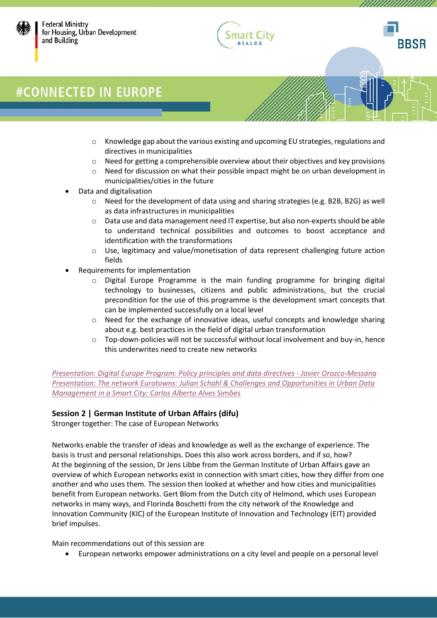





UUUUUUUUUU

# #CONNECTED IN EUROPE

- $\circ$  Knowledge gap about the various existing and upcoming EU strategies, regulations and directives in municipalities
- $\circ$  Need for getting a comprehensible overview about their objectives and key provisions
- o Need for discussion on what their possible impact might be on urban development in municipalities/cities in the future
- Data and digitalisation
	- o Need for the development of data using and sharing strategies (e.g. B2B, B2G) as well as data infrastructures in municipalities
	- o Data use and data management need IT expertise, but also non-experts should be able to understand technical possibilities and outcomes to boost acceptance and identification with the transformations
	- $\circ$  Use, legitimacy and value/monetisation of data represent challenging future action fields
- Requirements for implementation
	- o Digital Europe Programme is the main funding programme for bringing digital technology to businesses, citizens and public administrations, but the crucial precondition for the use of this programme is the development smart concepts that can be implemented successfully on a local level
	- o Need for the exchange of innovative ideas, useful concepts and knowledge sharing about e.g. best practices in the field of digital urban transformation
	- $\circ$  Top-down-policies will not be successful without local involvement and buy-in, hence this underwrites need to create new networks

*[Presentation: Digital Europe Program: Policy principles and data directives -](https://www.smart-city-dialog.de/wp-content/uploads/2022/03/SESSIO3.pdf) Javier Orozco-Messana Presentation: The network Eurotowns: [Julian Schahl & Challenges and Opportunities in Urban Data](https://www.smart-city-dialog.de/wp-content/uploads/2022/03/SESSIO2.pdf)  [Management in a Smart City:](https://www.smart-city-dialog.de/wp-content/uploads/2022/03/SESSIO2.pdf) Carlos Alberto Alves* Simões

### **Session 2 | German Institute of Urban Affairs (difu)**

Stronger together: The case of European Networks

Networks enable the transfer of ideas and knowledge as well as the exchange of experience. The basis is trust and personal relationships. Does this also work across borders, and if so, how? At the beginning of the session, Dr Jens Libbe from the German Institute of Urban Affairs gave an overview of which European networks exist in connection with smart cities, how they differ from one another and who uses them. The session then looked at whether and how cities and municipalities benefit from European networks. Gert Blom from the Dutch city of Helmond, which uses European networks in many ways, and Florinda Boschetti from the city network of the Knowledge and Innovation Community (KIC) of the European Institute of Innovation and Technology (EIT) provided brief impulses.

Main recommendations out of this session are

• European networks empower administrations on a city level and people on a personal level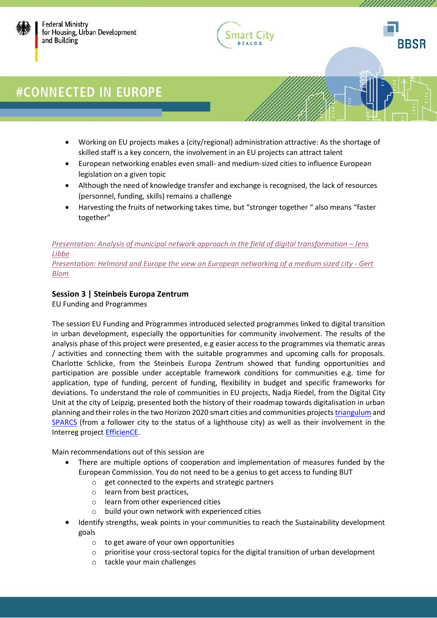





*UMMUNIMINI* 

# #CONNECTED IN EUROPE

- Working on EU projects makes a (city/regional) administration attractive: As the shortage of skilled staff is a key concern, the involvement in an EU projects can attract talent
- European networking enables even small- and medium-sized cities to influence European legislation on a given topic
- Although the need of knowledge transfer and exchange is recognised, the lack of resources (personnel, funding, skills) remains a challenge
- Harvesting the fruits of networking takes time, but "stronger together " also means "faster together"

### *[Presentation: Analysis of municipal network approach in the field of digital transformation](https://www.smart-city-dialog.de/wp-content/uploads/2022/03/Session2_connectedinEU_Libbe.pdf) – Jens [Libbe](https://www.smart-city-dialog.de/wp-content/uploads/2022/03/Session2_connectedinEU_Libbe.pdf)*

*[Presentation: Helmond and Europe the view on European networking of a medium sized city -](https://www.smart-city-dialog.de/wp-content/uploads/2022/03/Session2_connectedinEU_Blom.pdf) Gert [Blom](https://www.smart-city-dialog.de/wp-content/uploads/2022/03/Session2_connectedinEU_Blom.pdf)*

### **Session 3 | Steinbeis Europa Zentrum**

EU Funding and Programmes

The session EU Funding and Programmes introduced selected programmes linked to digital transition in urban development, especially the opportunities for community involvement. The results of the analysis phase of this project were presented, e.g easier access to the programmes via thematic areas / activities and connecting them with the suitable programmes and upcoming calls for proposals. Charlotte Schlicke, from the Steinbeis Europa Zentrum showed that funding opportunities and participation are possible under acceptable framework conditions for communities e.g. time for application, type of funding, percent of funding, flexibility in budget and specific frameworks for deviations. To understand the role of communities in EU projects, Nadja Riedel, from the Digital City Unit at the city of Leipzig, presented both the history of their roadmap towards digitalisation in urban planning and their roles in the two Horizon 2020 smart cities and communities project[s triangulum](https://triangulum-project.eu/) and [SPARCS](https://www.sparcs.info/) (from a follower city to the status of a lighthouse city) as well as their involvement in the Interreg projec[t EfficienCE.](https://www.interreg-central.eu/Content.Node/EfficienCE.html)

Main recommendations out of this session are

- There are multiple options of cooperation and implementation of measures funded by the European Commission. You do not need to be a genius to get access to funding BUT
	- o get connected to the experts and strategic partners
	- o learn from best practices,
	- o learn from other experienced cities
	- o build your own network with experienced cities
- Identify strengths, weak points in your communities to reach the Sustainability development goals
	- o to get aware of your own opportunities
	- $\circ$  prioritise your cross-sectoral topics for the digital transition of urban development
	- o tackle your main challenges